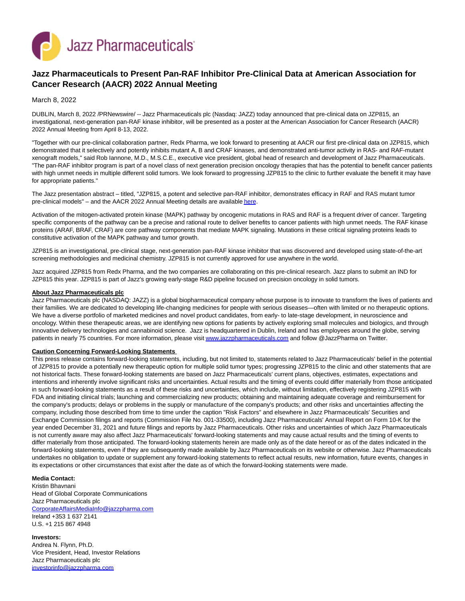

## **Jazz Pharmaceuticals to Present Pan-RAF Inhibitor Pre-Clinical Data at American Association for Cancer Research (AACR) 2022 Annual Meeting**

March 8, 2022

DUBLIN, March 8, 2022 /PRNewswire/ -- Jazz Pharmaceuticals plc (Nasdaq: JAZZ) today announced that pre-clinical data on JZP815, an investigational, next-generation pan-RAF kinase inhibitor, will be presented as a poster at the American Association for Cancer Research (AACR) 2022 Annual Meeting from April 8-13, 2022.

"Together with our pre-clinical collaboration partner, Redx Pharma, we look forward to presenting at AACR our first pre-clinical data on JZP815, which demonstrated that it selectively and potently inhibits mutant A, B and CRAF kinases, and demonstrated anti-tumor activity in RAS- and RAF-mutant xenograft models," said Rob Iannone, M.D., M.S.C.E., executive vice president, global head of research and development of Jazz Pharmaceuticals. "The pan-RAF inhibitor program is part of a novel class of next generation precision oncology therapies that has the potential to benefit cancer patients with high unmet needs in multiple different solid tumors. We look forward to progressing JZP815 to the clinic to further evaluate the benefit it may have for appropriate patients."

The Jazz presentation abstract – titled, "JZP815, a potent and selective pan-RAF inhibitor, demonstrates efficacy in RAF and RAS mutant tumor pre-clinical models" – and the AACR 2022 Annual Meeting details are availabl[e here.](https://c212.net/c/link/?t=0&l=en&o=3466701-1&h=492173691&u=https%3A%2F%2Fwww.aacr.org%2Fmeeting%2Faacr-annual-meeting-2022%2F&a=here)

Activation of the mitogen-activated protein kinase (MAPK) pathway by oncogenic mutations in RAS and RAF is a frequent driver of cancer. Targeting specific components of the pathway can be a precise and rational route to deliver benefits to cancer patients with high unmet needs. The RAF kinase proteins (ARAF, BRAF, CRAF) are core pathway components that mediate MAPK signaling. Mutations in these critical signaling proteins leads to constitutive activation of the MAPK pathway and tumor growth.

JZP815 is an investigational, pre-clinical stage, next-generation pan-RAF kinase inhibitor that was discovered and developed using state-of-the-art screening methodologies and medicinal chemistry. JZP815 is not currently approved for use anywhere in the world.

Jazz acquired JZP815 from Redx Pharma, and the two companies are collaborating on this pre-clinical research. Jazz plans to submit an IND for JZP815 this year. JZP815 is part of Jazz's growing early-stage R&D pipeline focused on precision oncology in solid tumors.

## **About Jazz Pharmaceuticals plc**

Jazz Pharmaceuticals plc (NASDAQ: JAZZ) is a global biopharmaceutical company whose purpose is to innovate to transform the lives of patients and their families. We are dedicated to developing life-changing medicines for people with serious diseases—often with limited or no therapeutic options. We have a diverse portfolio of marketed medicines and novel product candidates, from early- to late-stage development, in neuroscience and oncology. Within these therapeutic areas, we are identifying new options for patients by actively exploring small molecules and biologics, and through innovative delivery technologies and cannabinoid science. Jazz is headquartered in Dublin, Ireland and has employees around the globe, serving patients in nearly 75 countries. For more information, please visi[t www.jazzpharmaceuticals.com a](https://c212.net/c/link/?t=0&l=en&o=3466701-1&h=1248329240&u=http%3A%2F%2Fwww.jazzpharmaceuticals.com%2F&a=www.jazzpharmaceuticals.com)nd follow @JazzPharma on Twitter.

## **Caution Concerning Forward-Looking Statements**

This press release contains forward-looking statements, including, but not limited to, statements related to Jazz Pharmaceuticals' belief in the potential of JZP815 to provide a potentially new therapeutic option for multiple solid tumor types; progressing JZP815 to the clinic and other statements that are not historical facts. These forward-looking statements are based on Jazz Pharmaceuticals' current plans, objectives, estimates, expectations and intentions and inherently involve significant risks and uncertainties. Actual results and the timing of events could differ materially from those anticipated in such forward-looking statements as a result of these risks and uncertainties, which include, without limitation, effectively registering JZP815 with FDA and initiating clinical trials; launching and commercializing new products; obtaining and maintaining adequate coverage and reimbursement for the company's products; delays or problems in the supply or manufacture of the company's products; and other risks and uncertainties affecting the company, including those described from time to time under the caption "Risk Factors" and elsewhere in Jazz Pharmaceuticals' Securities and Exchange Commission filings and reports (Commission File No. 001-33500), including Jazz Pharmaceuticals' Annual Report on Form 10-K for the year ended December 31, 2021 and future filings and reports by Jazz Pharmaceuticals. Other risks and uncertainties of which Jazz Pharmaceuticals is not currently aware may also affect Jazz Pharmaceuticals' forward-looking statements and may cause actual results and the timing of events to differ materially from those anticipated. The forward-looking statements herein are made only as of the date hereof or as of the dates indicated in the forward-looking statements, even if they are subsequently made available by Jazz Pharmaceuticals on its website or otherwise. Jazz Pharmaceuticals undertakes no obligation to update or supplement any forward-looking statements to reflect actual results, new information, future events, changes in its expectations or other circumstances that exist after the date as of which the forward-looking statements were made.

## **Media Contact:**

Kristin Bhavnani Head of Global Corporate Communications Jazz Pharmaceuticals plc [CorporateAffairsMediaInfo@jazzpharma.com](mailto:CorporateAffairsMediaInfo@jazzpharma.com) Ireland +353 1 637 2141 U.S. +1 215 867 4948

**Investors:** Andrea N. Flynn, Ph.D. Vice President, Head, Investor Relations Jazz Pharmaceuticals plc [investorinfo@jazzpharma.com](mailto:investorinfo@jazzpharma.com)